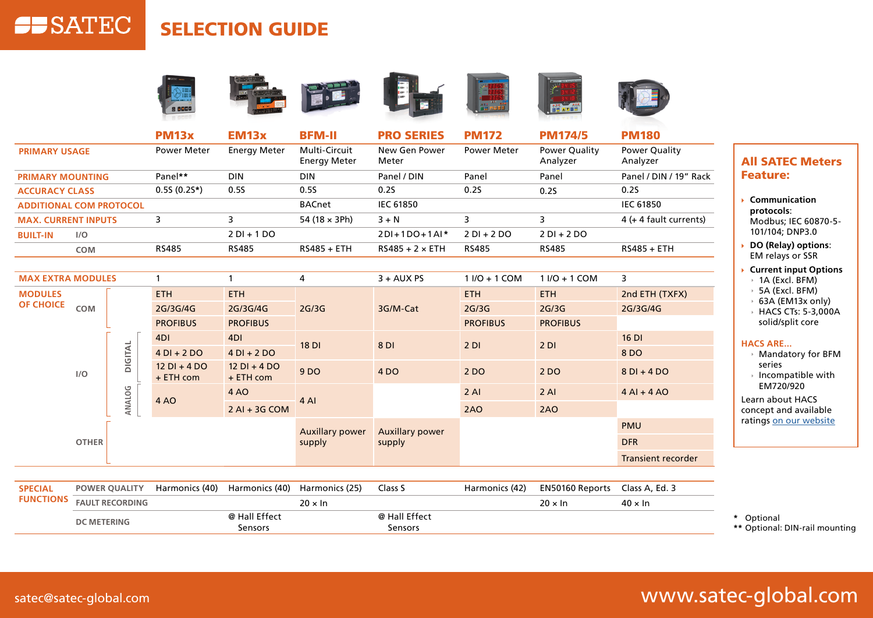## **SELECTION GUIDE**





| <b>MAX EXTRA MODULES</b> |         |                             |                               | 4      | $3 + AUX PS$           | $11/0 + 1$ COM  | $11/0 + 1$ COM  | 3                         |
|--------------------------|---------|-----------------------------|-------------------------------|--------|------------------------|-----------------|-----------------|---------------------------|
| <b>MODULES</b>           |         | ETH.                        | <b>ETH</b>                    | 2G/3G  | 3G/M-Cat               | <b>ETH</b>      | <b>ETH</b>      | 2nd ETH (TXFX)            |
| <b>OF CHOICE</b><br>COM  |         | 2G/3G/4G                    | 2G/3G/4G                      |        |                        | 2G/3G           | 2G/3G           | 2G/3G/4G                  |
|                          |         | <b>PROFIBUS</b>             | <b>PROFIBUS</b>               |        |                        | <b>PROFIBUS</b> | <b>PROFIBUS</b> |                           |
|                          |         | 4DI                         | 4DI                           | 18 DI  | 8 DI                   | 2DI             | 2DI             | $16$ DI                   |
|                          | DIGITAL | $4$ DI + 2 DO               | $4DI + 2DO$                   |        |                        |                 |                 | 8 DO                      |
| I/O                      |         | $12$ DI + 4 DO<br>+ ETH com | $12$ DI + 4 DO<br>$+$ ETH com | 9 DO   | 4 <sub>DO</sub>        | 2 DO            | 2 DO            | $8$ DI + 4 DO             |
|                          |         | 4 AO                        | 4 AO                          | 4 AI   |                        | $2$ Al          | $2$ Al          | $4$ Al + 4 AO             |
|                          | ANALOG  |                             | $2$ Al + 3G COM               |        |                        | 2AO             | 2AO             |                           |
|                          |         |                             | <b>Auxillary power</b>        |        | <b>Auxillary power</b> |                 |                 | <b>PMU</b>                |
| <b>OTHER</b>             |         |                             |                               | supply | supply                 |                 |                 | <b>DFR</b>                |
|                          |         |                             |                               |        |                        |                 |                 | <b>Transient recorder</b> |

| <b>SPECIAL</b> | <b>POWER OUALITY</b>             | Harmonics (40) | Harmonics (40) Harmonics (25) |               | Class S        | Harmonics (42) | EN50160 Reports Class A, Ed. 3 |                 |  |
|----------------|----------------------------------|----------------|-------------------------------|---------------|----------------|----------------|--------------------------------|-----------------|--|
|                | <b>FUNCTIONS FAULT RECORDING</b> |                |                               | 20 × In       |                |                | $20 \times \ln$                | $40 \times \ln$ |  |
|                | <b>DC METERING</b>               |                | @ Hall Effect                 | @ Hall Effect |                |                |                                |                 |  |
|                |                                  |                | <b>Sensors</b>                |               | <b>Sensors</b> |                |                                |                 |  |

## **All SATEC Meters** :Feature

- **Communication**` :**protocols** Modbus; IEC 60870-5-101/104; DNP3.0
- DO (Relay) options: EM relays or SSR
- **Current input Options**  $\rightarrow$  1A (Excl. BFM)
	- $\rightarrow$  5A (Excl. BFM)
	- $\rightarrow$  63A (EM13x only)
	- $\rightarrow$  HACS CTs: 5-3,000A solid/split core

## **HACS ARE...**

- $\rightarrow$  Mandatory for BFM series
- $\rightarrow$  Incompatible with EM720/920

Learn about HACS concept and available ratings on our website

Optional**\*** \*\* Optional: DIN-rail mounting

**SP**SATEC